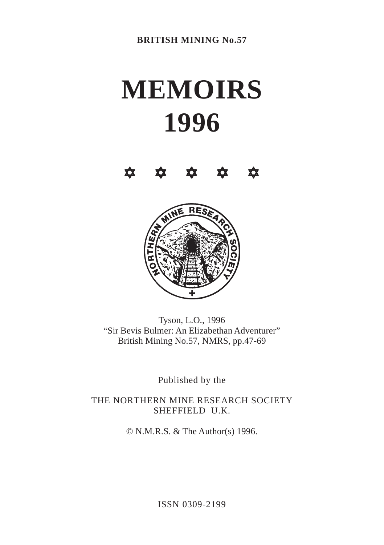# **MEMOIRS 1996**





Tyson, L.O., 1996 "Sir Bevis Bulmer: An Elizabethan Adventurer" British Mining No.57, NMRS, pp.47-69

Published by the

THE NORTHERN MINE RESEARCH SOCIETY SHEFFIELD U.K.

© N.M.R.S. & The Author(s) 1996.

ISSN 0309-2199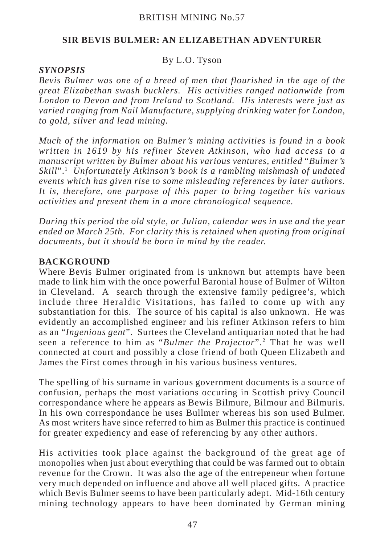## **SIR BEVIS BULMER: AN ELIZABETHAN ADVENTURER**

## By L.O. Tyson

#### *SYNOPSIS*

*Bevis Bulmer was one of a breed of men that flourished in the age of the great Elizabethan swash bucklers. His activities ranged nationwide from London to Devon and from Ireland to Scotland. His interests were just as varied ranging from Nail Manufacture, supplying drinking water for London, to gold, silver and lead mining.*

*Much of the information on Bulmer's mining activities is found in a book written in 1619 by his refiner Steven Atkinson, who had access to a manuscript written by Bulmer about his various ventures, entitled* "*Bulmer's Skill*".1 *Unfortunately Atkinson's book is a rambling mishmash of undated events which has given rise to some misleading references by later authors. It is, therefore, one purpose of this paper to bring together his various activities and present them in a more chronological sequence.*

*During this period the old style, or Julian, calendar was in use and the year ended on March 25th. For clarity this is retained when quoting from original documents, but it should be born in mind by the reader.*

#### **BACKGROUND**

Where Bevis Bulmer originated from is unknown but attempts have been made to link him with the once powerful Baronial house of Bulmer of Wilton in Cleveland. A search through the extensive family pedigree's, which include three Heraldic Visitations, has failed to come up with any substantiation for this. The source of his capital is also unknown. He was evidently an accomplished engineer and his refiner Atkinson refers to him as an "*Ingenious gent*". Surtees the Cleveland antiquarian noted that he had seen a reference to him as "*Bulmer the Projector*".2 That he was well connected at court and possibly a close friend of both Queen Elizabeth and James the First comes through in his various business ventures.

The spelling of his surname in various government documents is a source of confusion, perhaps the most variations occuring in Scottish privy Council correspondance where he appears as Bewis Bilmure, Bilmour and Bilmuris. In his own correspondance he uses Bullmer whereas his son used Bulmer. As most writers have since referred to him as Bulmer this practice is continued for greater expediency and ease of referencing by any other authors.

His activities took place against the background of the great age of monopolies when just about everything that could be was farmed out to obtain revenue for the Crown. It was also the age of the entrepeneur when fortune very much depended on influence and above all well placed gifts. A practice which Bevis Bulmer seems to have been particularly adept. Mid-16th century mining technology appears to have been dominated by German mining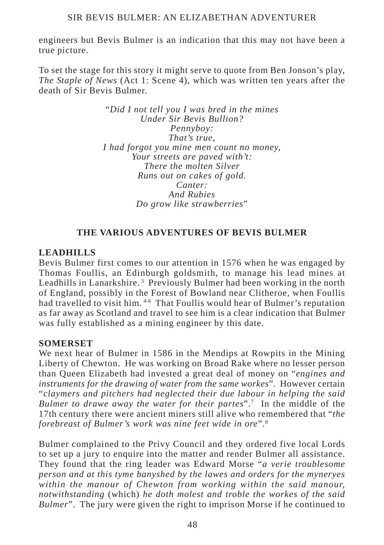engineers but Bevis Bulmer is an indication that this may not have been a true picture.

To set the stage for this story it might serve to quote from Ben Jonson's play, *The Staple of News* (Act 1: Scene 4), which was written ten years after the death of Sir Bevis Bulmer.

> "*Did I not tell you I was bred in the mines Under Sir Bevis Bullion? Pennyboy: That's true, I had forgot you mine men count no money, Your streets are paved with't: There the molten Silver Runs out on cakes of gold. Canter: And Rubies Do grow like strawberries*"

# **THE VARIOUS ADVENTURES OF BEVIS BULMER**

# **LEADHILLS**

Bevis Bulmer first comes to our attention in 1576 when he was engaged by Thomas Foullis, an Edinburgh goldsmith, to manage his lead mines at Leadhills in Lanarkshire.<sup>3</sup> Previously Bulmer had been working in the north of England, possibly in the Forest of Bowland near Clitheroe, when Foullis had travelled to visit him.<sup>4-6</sup> That Foullis would hear of Bulmer's reputation as far away as Scotland and travel to see him is a clear indication that Bulmer was fully established as a mining engineer by this date.

#### **SOMERSET**

We next hear of Bulmer in 1586 in the Mendips at Rowpits in the Mining Liberty of Chewton. He was working on Broad Rake where no lesser person than Queen Elizabeth had invested a great deal of money on "*engines and instruments for the drawing of water from the same workes*". However certain "*claymers and pitchers had neglected their due labour in helping the said Bulmer to drawe away the water for their partes*".7 In the middle of the 17th century there were ancient miners still alive who remembered that "*the forebreast of Bulmer's work was nine feet wide in ore*".8

Bulmer complained to the Privy Council and they ordered five local Lords to set up a jury to enquire into the matter and render Bulmer all assistance. They found that the ring leader was Edward Morse "*a verie troublesome person and at this tyme banyshed by the lawes and orders for the myneryes within the manour of Chewton from working within the said manour, notwithstanding* (which) *he doth molest and troble the workes of the said Bulmer*". The jury were given the right to imprison Morse if he continued to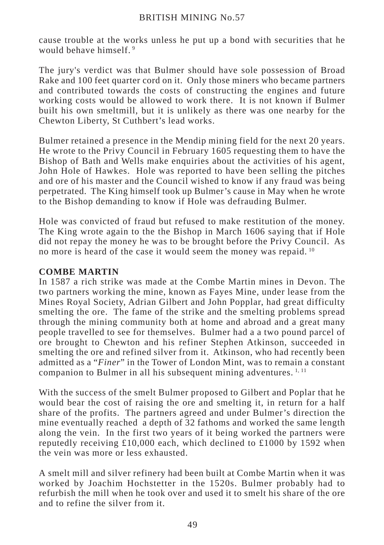cause trouble at the works unless he put up a bond with securities that he would behave himself<sup>9</sup>

The jury's verdict was that Bulmer should have sole possession of Broad Rake and 100 feet quarter cord on it. Only those miners who became partners and contributed towards the costs of constructing the engines and future working costs would be allowed to work there. It is not known if Bulmer built his own smeltmill, but it is unlikely as there was one nearby for the Chewton Liberty, St Cuthbert's lead works.

Bulmer retained a presence in the Mendip mining field for the next 20 years. He wrote to the Privy Council in February 1605 requesting them to have the Bishop of Bath and Wells make enquiries about the activities of his agent, John Hole of Hawkes. Hole was reported to have been selling the pitches and ore of his master and the Council wished to know if any fraud was being perpetrated. The King himself took up Bulmer's cause in May when he wrote to the Bishop demanding to know if Hole was defrauding Bulmer.

Hole was convicted of fraud but refused to make restitution of the money. The King wrote again to the the Bishop in March 1606 saying that if Hole did not repay the money he was to be brought before the Privy Council. As no more is heard of the case it would seem the money was repaid.<sup>10</sup>

# **COMBE MARTIN**

In 1587 a rich strike was made at the Combe Martin mines in Devon. The two partners working the mine, known as Fayes Mine, under lease from the Mines Royal Society, Adrian Gilbert and John Popplar, had great difficulty smelting the ore. The fame of the strike and the smelting problems spread through the mining community both at home and abroad and a great many people travelled to see for themselves. Bulmer had a a two pound parcel of ore brought to Chewton and his refiner Stephen Atkinson, succeeded in smelting the ore and refined silver from it. Atkinson, who had recently been admitted as a "*Finer*" in the Tower of London Mint, was to remain a constant companion to Bulmer in all his subsequent mining adventures.<sup>1, 11</sup>

With the success of the smelt Bulmer proposed to Gilbert and Poplar that he would bear the cost of raising the ore and smelting it, in return for a half share of the profits. The partners agreed and under Bulmer's direction the mine eventually reached a depth of 32 fathoms and worked the same length along the vein. In the first two years of it being worked the partners were reputedly receiving £10,000 each, which declined to £1000 by 1592 when the vein was more or less exhausted.

A smelt mill and silver refinery had been built at Combe Martin when it was worked by Joachim Hochstetter in the 1520s. Bulmer probably had to refurbish the mill when he took over and used it to smelt his share of the ore and to refine the silver from it.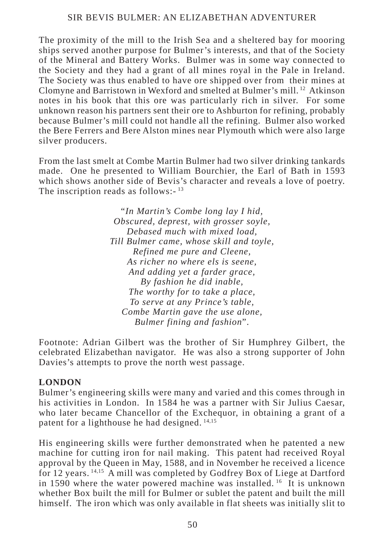The proximity of the mill to the Irish Sea and a sheltered bay for mooring ships served another purpose for Bulmer's interests, and that of the Society of the Mineral and Battery Works. Bulmer was in some way connected to the Society and they had a grant of all mines royal in the Pale in Ireland. The Society was thus enabled to have ore shipped over from their mines at Clomyne and Barristown in Wexford and smelted at Bulmer's mill. 12 Atkinson notes in his book that this ore was particularly rich in silver. For some unknown reason his partners sent their ore to Ashburton for refining, probably because Bulmer's mill could not handle all the refining. Bulmer also worked the Bere Ferrers and Bere Alston mines near Plymouth which were also large silver producers.

From the last smelt at Combe Martin Bulmer had two silver drinking tankards made. One he presented to William Bourchier, the Earl of Bath in 1593 which shows another side of Bevis's character and reveals a love of poetry. The inscription reads as follows:-<sup>13</sup>

> "*In Martin's Combe long lay I hid, Obscured, deprest, with grosser soyle, Debased much with mixed load, Till Bulmer came, whose skill and toyle, Refined me pure and Cleene, As richer no where els is seene, And adding yet a farder grace, By fashion he did inable, The worthy for to take a place, To serve at any Prince's table, Combe Martin gave the use alone, Bulmer fining and fashion*".

Footnote: Adrian Gilbert was the brother of Sir Humphrey Gilbert, the celebrated Elizabethan navigator. He was also a strong supporter of John Davies's attempts to prove the north west passage.

# **LONDON**

Bulmer's engineering skills were many and varied and this comes through in his activities in London. In 1584 he was a partner with Sir Julius Caesar, who later became Chancellor of the Exchequor, in obtaining a grant of a patent for a lighthouse he had designed. 14,15

His engineering skills were further demonstrated when he patented a new machine for cutting iron for nail making. This patent had received Royal approval by the Queen in May, 1588, and in November he received a licence for 12 years. 14,15 A mill was completed by Godfrey Box of Liege at Dartford in 1590 where the water powered machine was installed. <sup>16</sup> It is unknown whether Box built the mill for Bulmer or sublet the patent and built the mill himself. The iron which was only available in flat sheets was initially slit to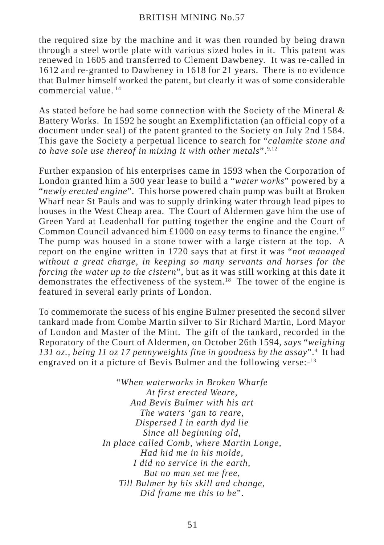the required size by the machine and it was then rounded by being drawn through a steel wortle plate with various sized holes in it. This patent was renewed in 1605 and transferred to Clement Dawbeney. It was re-called in 1612 and re-granted to Dawbeney in 1618 for 21 years. There is no evidence that Bulmer himself worked the patent, but clearly it was of some considerable commercial value. 14

As stated before he had some connection with the Society of the Mineral & Battery Works. In 1592 he sought an Exemplifictation (an official copy of a document under seal) of the patent granted to the Society on July 2nd 1584. This gave the Society a perpetual licence to search for "*calamite stone and to have sole use thereof in mixing it with other metals*".9,12

Further expansion of his enterprises came in 1593 when the Corporation of London granted him a 500 year lease to build a "*water works*" powered by a "*newly erected engine*". This horse powered chain pump was built at Broken Wharf near St Pauls and was to supply drinking water through lead pipes to houses in the West Cheap area. The Court of Aldermen gave him the use of Green Yard at Leadenhall for putting together the engine and the Court of Common Council advanced him  $\pounds1000$  on easy terms to finance the engine.<sup>17</sup> The pump was housed in a stone tower with a large cistern at the top. A report on the engine written in 1720 says that at first it was "*not managed without a great charge, in keeping so many servants and horses for the forcing the water up to the cistern*", but as it was still working at this date it demonstrates the effectiveness of the system.<sup>18</sup> The tower of the engine is featured in several early prints of London.

To commemorate the sucess of his engine Bulmer presented the second silver tankard made from Combe Martin silver to Sir Richard Martin, Lord Mayor of London and Master of the Mint. The gift of the tankard, recorded in the Reporatory of the Court of Aldermen, on October 26th 1594, *says* "*weighing* 131 oz., being 11 oz 17 pennyweights fine in goodness by the assay".<sup>4</sup> It had engraved on it a picture of Bevis Bulmer and the following verse:-13

> "*When waterworks in Broken Wharfe At first erected Weare, And Bevis Bulmer with his art The waters 'gan to reare, Dispersed I in earth dyd lie Since all beginning old, In place called Comb, where Martin Longe, Had hid me in his molde, I did no service in the earth, But no man set me free, Till Bulmer by his skill and change, Did frame me this to be*".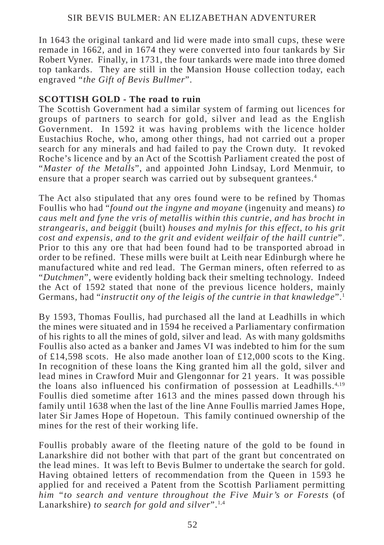In 1643 the original tankard and lid were made into small cups, these were remade in 1662, and in 1674 they were converted into four tankards by Sir Robert Vyner. Finally, in 1731, the four tankards were made into three domed top tankards. They are still in the Mansion House collection today, each engraved "*the Gift of Bevis Bullmer*".

# **SCOTTISH GOLD - The road to ruin**

The Scottish Government had a similar system of farming out licences for groups of partners to search for gold, silver and lead as the English Government. In 1592 it was having problems with the licence holder Eustachius Roche, who, among other things, had not carried out a proper search for any minerals and had failed to pay the Crown duty. It revoked Roche's licence and by an Act of the Scottish Parliament created the post of "*Master of the Metalls*", and appointed John Lindsay, Lord Menmuir, to ensure that a proper search was carried out by subsequent grantees.<sup>4</sup>

The Act also stipulated that any ores found were to be refined by Thomas Foullis who had "*found out the ingyne and moyane* (ingenuity and means) *to caus melt and fyne the vris of metallis within this cuntrie, and has brocht in strangearis, and beiggit* (built) *houses and mylnis for this effect, to his grit cost and expensis, and to the grit and evident weilfair of the haill cuntrie*". Prior to this any ore that had been found had to be transported abroad in order to be refined. These mills were built at Leith near Edinburgh where he manufactured white and red lead. The German miners, often referred to as "*Dutchmen*", were evidently holding back their smelting technology. Indeed the Act of 1592 stated that none of the previous licence holders, mainly Germans, had "*instructit ony of the leigis of the cuntrie in that knawledge*".1

By 1593, Thomas Foullis, had purchased all the land at Leadhills in which the mines were situated and in 1594 he received a Parliamentary confirmation of his rights to all the mines of gold, silver and lead. As with many goldsmiths Foullis also acted as a banker and James VI was indebted to him for the sum of £14,598 scots. He also made another loan of £12,000 scots to the King. In recognition of these loans the King granted him all the gold, silver and lead mines in Crawford Muir and Glengonnar for 21 years. It was possible the loans also influenced his confirmation of possession at Leadhills.4,19 Foullis died sometime after 1613 and the mines passed down through his family until 1638 when the last of the line Anne Foullis married James Hope, later Sir James Hope of Hopetoun. This family continued ownership of the mines for the rest of their working life.

Foullis probably aware of the fleeting nature of the gold to be found in Lanarkshire did not bother with that part of the grant but concentrated on the lead mines. It was left to Bevis Bulmer to undertake the search for gold. Having obtained letters of recommendation from the Queen in 1593 he applied for and received a Patent from the Scottish Parliament permitting *him "to search and venture throughout the Five Muir's or Forests* (of Lanarkshire) *to search for gold and silver*".<sup>1,4</sup>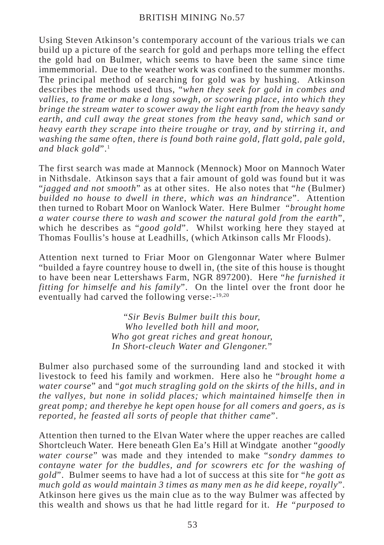Using Steven Atkinson's contemporary account of the various trials we can build up a picture of the search for gold and perhaps more telling the effect the gold had on Bulmer, which seems to have been the same since time immemmorial. Due to the weather work was confined to the summer months. The principal method of searching for gold was by hushing. Atkinson describes the methods used thus, "*when they seek for gold in combes and vallies, to frame or make a long sowgh, or scowring place, into which they bringe the stream water to scower away the light earth from the heavy sandy earth, and cull away the great stones from the heavy sand, which sand or heavy earth they scrape into theire troughe or tray, and by stirring it, and washing the same often, there is found both raine gold, flatt gold, pale gold, and black gold*".1

The first search was made at Mannock (Mennock) Moor on Mannoch Water in Nithsdale. Atkinson says that a fair amount of gold was found but it was "*jagged and not smooth*" as at other sites. He also notes that "*he* (Bulmer) *builded no house to dwell in there, which was an hindrance*". Attention then turned to Robart Moor on Wanlock Water. Here Bulmer *"brought home a water course there to wash and scower the natural gold from the earth*", which he describes as "*good gold*". Whilst working here they stayed at Thomas Foullis's house at Leadhills, (which Atkinson calls Mr Floods).

Attention next turned to Friar Moor on Glengonnar Water where Bulmer "builded a fayre countrey house to dwell in, (the site of this house is thought to have been near Lettershaws Farm, NGR 897200). Here "*he furnished it fitting for himselfe and his family*". On the lintel over the front door he eventually had carved the following verse:-19,20

> "*Sir Bevis Bulmer built this bour, Who levelled both hill and moor, Who got great riches and great honour, In Short-cleuch Water and Glengoner.*"

Bulmer also purchased some of the surrounding land and stocked it with livestock to feed his family and workmen. Here also he "*brought home a water course*" and "*got much stragling gold on the skirts of the hills, and in the vallyes, but none in solidd places; which maintained himselfe then in great pomp; and therebye he kept open house for all comers and goers, as is reported, he feasted all sorts of people that thither came*".

Attention then turned to the Elvan Water where the upper reaches are called Shortcleuch Water. Here beneath Glen Ea's Hill at Windgate another "*goodly water course*" was made and they intended to make "*sondry dammes to contayne water for the buddles, and for scowrers etc for the washing of gold*". Bulmer seems to have had a lot of success at this site for "*he gott as much gold as would maintain 3 times as many men as he did keepe, royally*". Atkinson here gives us the main clue as to the way Bulmer was affected by this wealth and shows us that he had little regard for it. *He "purposed to*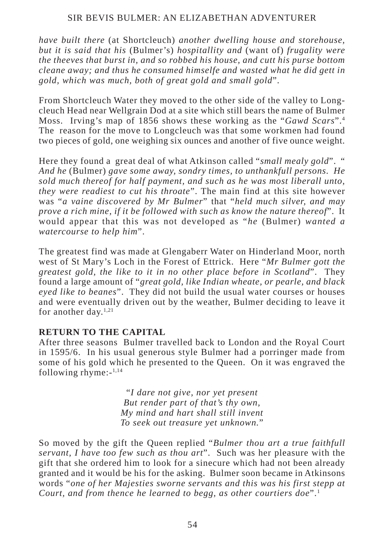*have built there* (at Shortcleuch) *another dwelling house and storehouse, but it is said that his* (Bulmer's) *hospitallity and* (want of) *frugality were the theeves that burst in, and so robbed his house, and cutt his purse bottom cleane away; and thus he consumed himselfe and wasted what he did gett in gold, which was much, both of great gold and small gold*".

From Shortcleuch Water they moved to the other side of the valley to Longcleuch Head near Wellgrain Dod at a site which still bears the name of Bulmer Moss. Irving's map of 1856 shows these working as the "*Gawd Scars*".4 The reason for the move to Longcleuch was that some workmen had found two pieces of gold, one weighing six ounces and another of five ounce weight.

Here they found a great deal of what Atkinson called "*small mealy gold*". " *And he* (Bulmer) *gave some away, sondry times, to unthankfull persons. He sold much thereof for half payment, and such as he was most liberall unto, they were readiest to cut his throate*". The main find at this site however was "*a vaine discovered by Mr Bulmer*" that "*held much silver, and may prove a rich mine, if it be followed with such as know the nature thereof*". It would appear that this was not developed as "*he* (Bulmer) *wanted a watercourse to help him*".

The greatest find was made at Glengaberr Water on Hinderland Moor, north west of St Mary's Loch in the Forest of Ettrick. Here "*Mr Bulmer gott the greatest gold, the like to it in no other place before in Scotland*". They found a large amount of "*great gold, like Indian wheate, or pearle, and black eyed like to beanes*". They did not build the usual water courses or houses and were eventually driven out by the weather, Bulmer deciding to leave it for another  $\frac{d}{dx}$ ,  $\frac{1}{21}$ 

#### **RETURN TO THE CAPITAL**

After three seasons Bulmer travelled back to London and the Royal Court in 1595/6. In his usual generous style Bulmer had a porringer made from some of his gold which he presented to the Queen. On it was engraved the following rhyme:-1,14

> "*I dare not give, nor yet present But render part of that's thy own, My mind and hart shall still invent To seek out treasure yet unknown.*"

So moved by the gift the Queen replied "*Bulmer thou art a true faithfull servant, I have too few such as thou art*". Such was her pleasure with the gift that she ordered him to look for a sinecure which had not been already granted and it would be his for the asking. Bulmer soon became in Atkinsons words "*one of her Majesties sworne servants and this was his first stepp at Court, and from thence he learned to begg, as other courtiers doe*".1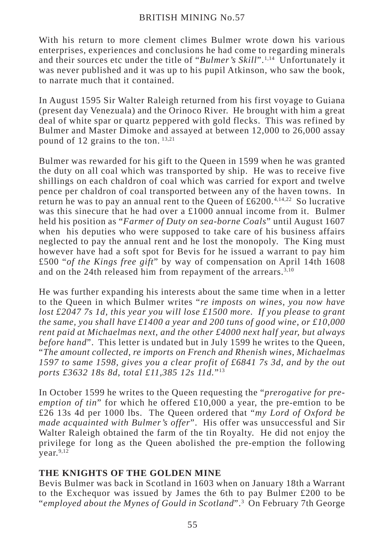With his return to more clement climes Bulmer wrote down his various enterprises, experiences and conclusions he had come to regarding minerals and their sources etc under the title of "*Bulmer's Skill*".1,14 Unfortunately it was never published and it was up to his pupil Atkinson, who saw the book, to narrate much that it contained.

In August 1595 Sir Walter Raleigh returned from his first voyage to Guiana (present day Venezuala) and the Orinoco River. He brought with him a great deal of white spar or quartz peppered with gold flecks. This was refined by Bulmer and Master Dimoke and assayed at between 12,000 to 26,000 assay pound of 12 grains to the ton.  $13,21$ 

Bulmer was rewarded for his gift to the Queen in 1599 when he was granted the duty on all coal which was transported by ship. He was to receive five shillings on each chaldron of coal which was carried for export and twelve pence per chaldron of coal transported between any of the haven towns. In return he was to pay an annual rent to the Queen of  $£6200.^{4,14,22}$  So lucrative was this sinecure that he had over a £1000 annual income from it. Bulmer held his position as "*Farmer of Duty on sea-borne Coals*" until August 1607 when his deputies who were supposed to take care of his business affairs neglected to pay the annual rent and he lost the monopoly. The King must however have had a soft spot for Bevis for he issued a warrant to pay him £500 "*of the Kings free gift*" by way of compensation on April 14th 1608 and on the 24th released him from repayment of the arrears.<sup>3,10</sup>

He was further expanding his interests about the same time when in a letter to the Queen in which Bulmer writes "*re imposts on wines, you now have lost £2047 7s 1d, this year you will lose £1500 more. If you please to grant the same, you shall have £1400 a year and 200 tuns of good wine, or £10,000 rent paid at Michaelmas next, and the other £4000 next half year, but always before hand*". This letter is undated but in July 1599 he writes to the Queen, "*The amount collected, re imports on French and Rhenish wines, Michaelmas 1597 to same 1598, gives you a clear profit of £6841 7s 3d, and by the out ports £3632 18s 8d, total £11,385 12s 11d.*"13

In October 1599 he writes to the Queen requesting the "*prerogative for preemption of tin*" for which he offered £10,000 a year, the pre-emtion to be £26 13s 4d per 1000 lbs. The Queen ordered that "*my Lord of Oxford be made acquainted with Bulmer's offer*". His offer was unsuccessful and Sir Walter Raleigh obtained the farm of the tin Royalty. He did not enjoy the privilege for long as the Queen abolished the pre-emption the following  $\bar{v}$ ear.<sup>9,12</sup>

# **THE KNIGHTS OF THE GOLDEN MINE**

Bevis Bulmer was back in Scotland in 1603 when on January 18th a Warrant to the Exchequor was issued by James the 6th to pay Bulmer £200 to be "*employed about the Mynes of Gould in Scotland*".3 On February 7th George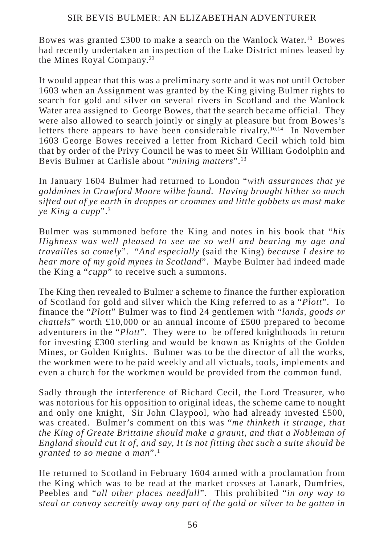Bowes was granted £300 to make a search on the Wanlock Water.10 Bowes had recently undertaken an inspection of the Lake District mines leased by the Mines Royal Company.23

It would appear that this was a preliminary sorte and it was not until October 1603 when an Assignment was granted by the King giving Bulmer rights to search for gold and silver on several rivers in Scotland and the Wanlock Water area assigned to George Bowes, that the search became official. They were also allowed to search jointly or singly at pleasure but from Bowes's letters there appears to have been considerable rivalry.<sup>10,14</sup> In November 1603 George Bowes received a letter from Richard Cecil which told him that by order of the Privy Council he was to meet Sir William Godolphin and Bevis Bulmer at Carlisle about "*mining matters*".13

In January 1604 Bulmer had returned to London "*with assurances that ye goldmines in Crawford Moore wilbe found. Having brought hither so much sifted out of ye earth in droppes or crommes and little gobbets as must make ye King a cupp*".3

Bulmer was summoned before the King and notes in his book that "*his Highness was well pleased to see me so well and bearing my age and travailles so comely*". "*And especially* (said the King) *because I desire to hear more of my gold mynes in Scotland*". Maybe Bulmer had indeed made the King a "*cupp*" to receive such a summons.

The King then revealed to Bulmer a scheme to finance the further exploration of Scotland for gold and silver which the King referred to as a "*Plott*". To finance the "*Plott*" Bulmer was to find 24 gentlemen with "*lands, goods or chattels*" worth £10,000 or an annual income of £500 prepared to become adventurers in the "*Plott*". They were to be offered knighthoods in return for investing £300 sterling and would be known as Knights of the Golden Mines, or Golden Knights. Bulmer was to be the director of all the works, the workmen were to be paid weekly and all victuals, tools, implements and even a church for the workmen would be provided from the common fund.

Sadly through the interference of Richard Cecil, the Lord Treasurer, who was notorious for his opposition to original ideas, the scheme came to nought and only one knight, Sir John Claypool, who had already invested £500, was created. Bulmer's comment on this was "*me thinketh it strange, that the King of Greate Brittaine should make a graunt, and that a Nobleman of England should cut it of, and say, It is not fitting that such a suite should be granted to so meane a man*".1

He returned to Scotland in February 1604 armed with a proclamation from the King which was to be read at the market crosses at Lanark, Dumfries, Peebles and "*all other places needfull*". This prohibited "*in ony way to steal or convoy secreitly away ony part of the gold or silver to be gotten in*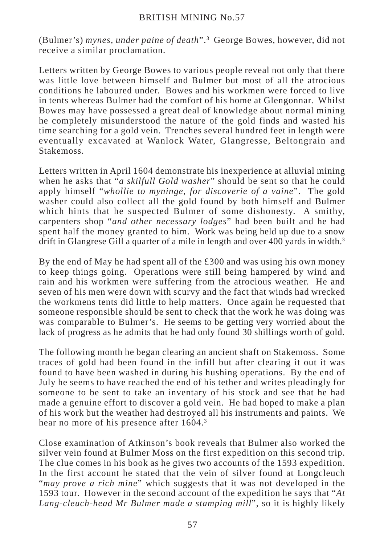(Bulmer's) *mynes, under paine of death*".3 George Bowes, however, did not receive a similar proclamation.

Letters written by George Bowes to various people reveal not only that there was little love between himself and Bulmer but most of all the atrocious conditions he laboured under. Bowes and his workmen were forced to live in tents whereas Bulmer had the comfort of his home at Glengonnar. Whilst Bowes may have possessed a great deal of knowledge about normal mining he completely misunderstood the nature of the gold finds and wasted his time searching for a gold vein. Trenches several hundred feet in length were eventually excavated at Wanlock Water, Glangresse, Beltongrain and Stakemoss.

Letters written in April 1604 demonstrate his inexperience at alluvial mining when he asks that "*a skilfull Gold washer*" should be sent so that he could apply himself "*whollie to myninge, for discoverie of a vaine*". The gold washer could also collect all the gold found by both himself and Bulmer which hints that he suspected Bulmer of some dishonesty. A smithy, carpenters shop "*and other necessary lodges*" had been built and he had spent half the money granted to him. Work was being held up due to a snow drift in Glangrese Gill a quarter of a mile in length and over 400 yards in width.<sup>3</sup>

By the end of May he had spent all of the £300 and was using his own money to keep things going. Operations were still being hampered by wind and rain and his workmen were suffering from the atrocious weather. He and seven of his men were down with scurvy and the fact that winds had wrecked the workmens tents did little to help matters. Once again he requested that someone responsible should be sent to check that the work he was doing was was comparable to Bulmer's. He seems to be getting very worried about the lack of progress as he admits that he had only found 30 shillings worth of gold.

The following month he began clearing an ancient shaft on Stakemoss. Some traces of gold had been found in the infill but after clearing it out it was found to have been washed in during his hushing operations. By the end of July he seems to have reached the end of his tether and writes pleadingly for someone to be sent to take an inventary of his stock and see that he had made a genuine effort to discover a gold vein. He had hoped to make a plan of his work but the weather had destroyed all his instruments and paints. We hear no more of his presence after 1604.<sup>3</sup>

Close examination of Atkinson's book reveals that Bulmer also worked the silver vein found at Bulmer Moss on the first expedition on this second trip. The clue comes in his book as he gives two accounts of the 1593 expedition. In the first account he stated that the vein of silver found at Longcleuch "*may prove a rich mine*" which suggests that it was not developed in the 1593 tour. However in the second account of the expedition he says that "*At Lang-cleuch-head Mr Bulmer made a stamping mill*", so it is highly likely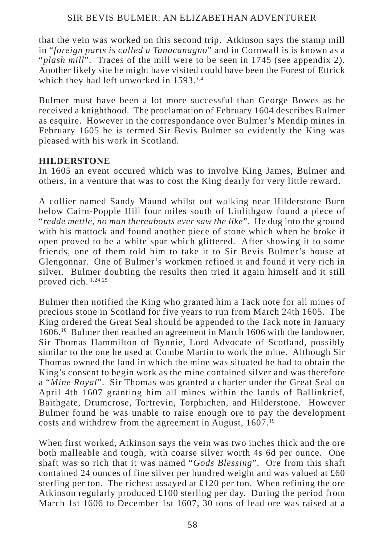that the vein was worked on this second trip. Atkinson says the stamp mill in "*foreign parts is called a Tanacanagno*" and in Cornwall is is known as a "*plash mill*". Traces of the mill were to be seen in 1745 (see appendix 2). Another likely site he might have visited could have been the Forest of Ettrick which they had left unworked in 1593.<sup>1,4</sup>

Bulmer must have been a lot more successful than George Bowes as he received a knighthood. The proclamation of February 1604 describes Bulmer as esquire. However in the correspondance over Bulmer's Mendip mines in February 1605 he is termed Sir Bevis Bulmer so evidently the King was pleased with his work in Scotland.

# **HILDERSTONE**

In 1605 an event occured which was to involve King James, Bulmer and others, in a venture that was to cost the King dearly for very little reward.

A collier named Sandy Maund whilst out walking near Hilderstone Burn below Cairn-Popple Hill four miles south of Linlithgow found a piece of "*redde mettle, no man thereabouts ever saw the like*". He dug into the ground with his mattock and found another piece of stone which when he broke it open proved to be a white spar which glittered. After showing it to some friends, one of them told him to take it to Sir Bevis Bulmer's house at Glengonnar. One of Bulmer's workmen refined it and found it very rich in silver. Bulmer doubting the results then tried it again himself and it still proved rich. 1,24,25

Bulmer then notified the King who granted him a Tack note for all mines of precious stone in Scotland for five years to run from March 24th 1605. The King ordered the Great Seal should be appended to the Tack note in January 1606.10 Bulmer then reached an agreement in March 1606 with the landowner, Sir Thomas Hammilton of Bynnie, Lord Advocate of Scotland, possibly similar to the one he used at Combe Martin to work the mine. Although Sir Thomas owned the land in which the mine was situated he had to obtain the King's consent to begin work as the mine contained silver and was therefore a "*Mine Royal*". Sir Thomas was granted a charter under the Great Seal on April 4th 1607 granting him all mines within the lands of Ballinkrief, Baithgate, Drumcrose, Tortrevin, Torphichen, and Hilderstone. However Bulmer found he was unable to raise enough ore to pay the development costs and withdrew from the agreement in August, 1607.19

When first worked, Atkinson says the vein was two inches thick and the ore both malleable and tough, with coarse silver worth 4s 6d per ounce. One shaft was so rich that it was named "*Gods Blessing*". Ore from this shaft contained 24 ounces of fine silver per hundred weight and was valued at £60 sterling per ton. The richest assayed at £120 per ton. When refining the ore Atkinson regularly produced £100 sterling per day. During the period from March 1st 1606 to December 1st 1607, 30 tons of lead ore was raised at a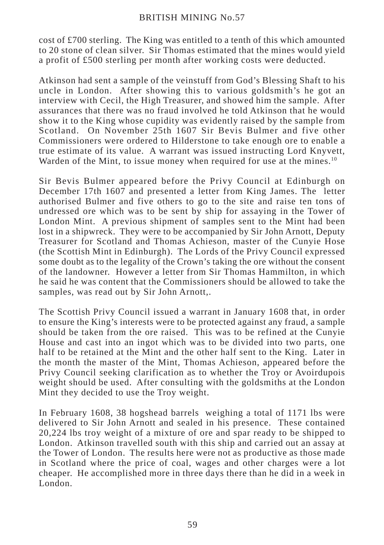cost of £700 sterling. The King was entitled to a tenth of this which amounted to 20 stone of clean silver. Sir Thomas estimated that the mines would yield a profit of £500 sterling per month after working costs were deducted.

Atkinson had sent a sample of the veinstuff from God's Blessing Shaft to his uncle in London. After showing this to various goldsmith's he got an interview with Cecil, the High Treasurer, and showed him the sample. After assurances that there was no fraud involved he told Atkinson that he would show it to the King whose cupidity was evidently raised by the sample from Scotland. On November 25th 1607 Sir Bevis Bulmer and five other Commissioners were ordered to Hilderstone to take enough ore to enable a true estimate of its value. A warrant was issued instructing Lord Knyvett, Warden of the Mint, to issue money when required for use at the mines.<sup>10</sup>

Sir Bevis Bulmer appeared before the Privy Council at Edinburgh on December 17th 1607 and presented a letter from King James. The letter authorised Bulmer and five others to go to the site and raise ten tons of undressed ore which was to be sent by ship for assaying in the Tower of London Mint. A previous shipment of samples sent to the Mint had been lost in a shipwreck. They were to be accompanied by Sir John Arnott, Deputy Treasurer for Scotland and Thomas Achieson, master of the Cunyie Hose (the Scottish Mint in Edinburgh). The Lords of the Privy Council expressed some doubt as to the legality of the Crown's taking the ore without the consent of the landowner. However a letter from Sir Thomas Hammilton, in which he said he was content that the Commissioners should be allowed to take the samples, was read out by Sir John Arnott,.

The Scottish Privy Council issued a warrant in January 1608 that, in order to ensure the King's interests were to be protected against any fraud, a sample should be taken from the ore raised. This was to be refined at the Cunyie House and cast into an ingot which was to be divided into two parts, one half to be retained at the Mint and the other half sent to the King. Later in the month the master of the Mint, Thomas Achieson, appeared before the Privy Council seeking clarification as to whether the Troy or Avoirdupois weight should be used. After consulting with the goldsmiths at the London Mint they decided to use the Troy weight.

In February 1608, 38 hogshead barrels weighing a total of 1171 lbs were delivered to Sir John Arnott and sealed in his presence. These contained 20,224 lbs troy weight of a mixture of ore and spar ready to be shipped to London. Atkinson travelled south with this ship and carried out an assay at the Tower of London. The results here were not as productive as those made in Scotland where the price of coal, wages and other charges were a lot cheaper. He accomplished more in three days there than he did in a week in London.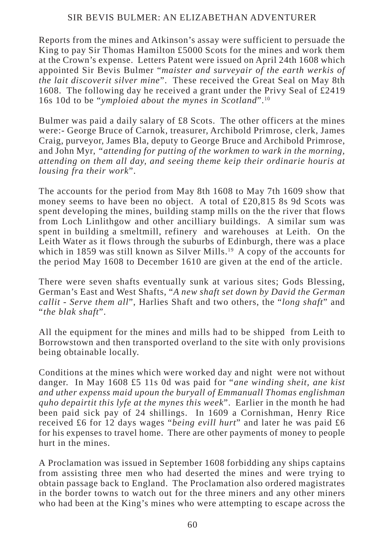Reports from the mines and Atkinson's assay were sufficient to persuade the King to pay Sir Thomas Hamilton £5000 Scots for the mines and work them at the Crown's expense. Letters Patent were issued on April 24th 1608 which appointed Sir Bevis Bulmer "*maister and surveyair of the earth werkis of the lait discoverit silver mine*". These received the Great Seal on May 8th 1608. The following day he received a grant under the Privy Seal of £2419 16s 10d to be "*ymploied about the mynes in Scotland*".10

Bulmer was paid a daily salary of £8 Scots. The other officers at the mines were:- George Bruce of Carnok, treasurer, Archibold Primrose, clerk, James Craig, purveyor, James Bla, deputy to George Bruce and Archibold Primrose, and John Myr, *"attending for putting of the workmen to wark in the morning, attending on them all day, and seeing theme keip their ordinarie houris at lousing fra their work*".

The accounts for the period from May 8th 1608 to May 7th 1609 show that money seems to have been no object. A total of £20,815 8s 9d Scots was spent developing the mines, building stamp mills on the the river that flows from Loch Linlithgow and other ancilliary buildings. A similar sum was spent in building a smeltmill, refinery and warehouses at Leith. On the Leith Water as it flows through the suburbs of Edinburgh, there was a place which in 1859 was still known as Silver Mills.<sup>19</sup> A copy of the accounts for the period May 1608 to December 1610 are given at the end of the article.

There were seven shafts eventually sunk at various sites; Gods Blessing, German's East and West Shafts, "*A new shaft set down by David the German callit - Serve them all*", Harlies Shaft and two others, the "*long shaft*" and "*the blak shaft*".

All the equipment for the mines and mills had to be shipped from Leith to Borrowstown and then transported overland to the site with only provisions being obtainable locally.

Conditions at the mines which were worked day and night were not without danger. In May 1608 £5 11s 0d was paid for "*ane winding sheit, ane kist and uther expenss maid upoun the buryall of Emmanuall Thomas englishman quho depairtit this lyfe at the mynes this week*". Earlier in the month he had been paid sick pay of 24 shillings. In 1609 a Cornishman, Henry Rice received £6 for 12 days wages "*being evill hurt*" and later he was paid £6 for his expenses to travel home. There are other payments of money to people hurt in the mines.

A Proclamation was issued in September 1608 forbidding any ships captains from assisting three men who had deserted the mines and were trying to obtain passage back to England. The Proclamation also ordered magistrates in the border towns to watch out for the three miners and any other miners who had been at the King's mines who were attempting to escape across the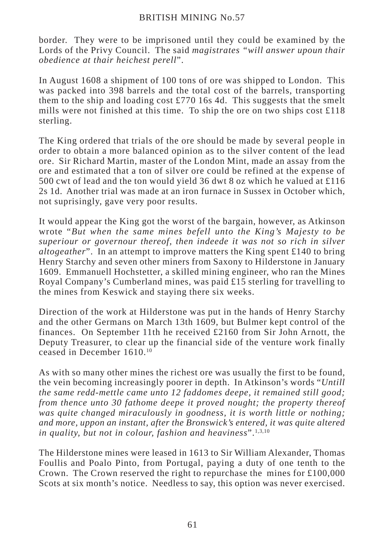border. They were to be imprisoned until they could be examined by the Lords of the Privy Council. The said *magistrates "will answer upoun thair obedience at thair heichest perell*".

In August 1608 a shipment of 100 tons of ore was shipped to London. This was packed into 398 barrels and the total cost of the barrels, transporting them to the ship and loading cost  $\pounds$ 770 16s 4d. This suggests that the smelt mills were not finished at this time. To ship the ore on two ships cost £118 sterling.

The King ordered that trials of the ore should be made by several people in order to obtain a more balanced opinion as to the silver content of the lead ore. Sir Richard Martin, master of the London Mint, made an assay from the ore and estimated that a ton of silver ore could be refined at the expense of 500 cwt of lead and the ton would yield 36 dwt 8 oz which he valued at £116 2s 1d. Another trial was made at an iron furnace in Sussex in October which, not suprisingly, gave very poor results.

It would appear the King got the worst of the bargain, however, as Atkinson wrote "*But when the same mines befell unto the King's Majesty to be superiour or governour thereof, then indeede it was not so rich in silver altogeather*". In an attempt to improve matters the King spent  $\pounds 140$  to bring Henry Starchy and seven other miners from Saxony to Hilderstone in January 1609. Emmanuell Hochstetter, a skilled mining engineer, who ran the Mines Royal Company's Cumberland mines, was paid £15 sterling for travelling to the mines from Keswick and staying there six weeks.

Direction of the work at Hilderstone was put in the hands of Henry Starchy and the other Germans on March 13th 1609, but Bulmer kept control of the finances. On September 11th he received £2160 from Sir John Arnott, the Deputy Treasurer, to clear up the financial side of the venture work finally ceased in December 1610.10

As with so many other mines the richest ore was usually the first to be found, the vein becoming increasingly poorer in depth. In Atkinson's words "*Untill the same redd-mettle came unto 12 faddomes deepe, it remained still good; from thence unto 30 fathome deepe it proved nought; the property thereof was quite changed miraculously in goodness, it is worth little or nothing; and more, uppon an instant, after the Bronswick's entered, it was quite altered* in quality, but not in colour, fashion and heaviness".<sup>1,3,10</sup>

The Hilderstone mines were leased in 1613 to Sir William Alexander, Thomas Foullis and Poalo Pinto, from Portugal, paying a duty of one tenth to the Crown. The Crown reserved the right to repurchase the mines for  $\text{\pounds}100,000$ Scots at six month's notice. Needless to say, this option was never exercised.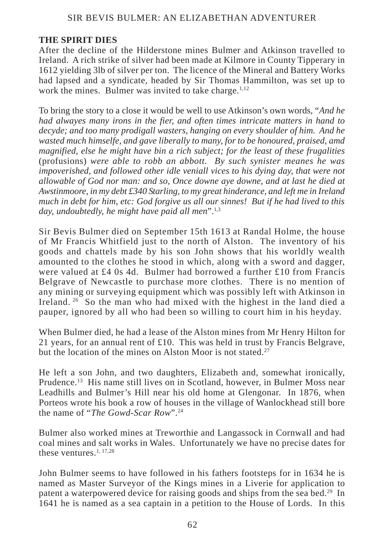# **THE SPIRIT DIES**

After the decline of the Hilderstone mines Bulmer and Atkinson travelled to Ireland. A rich strike of silver had been made at Kilmore in County Tipperary in 1612 yielding 3lb of silver per ton. The licence of the Mineral and Battery Works had lapsed and a syndicate, headed by Sir Thomas Hammilton, was set up to work the mines. Bulmer was invited to take charge. $1,12$ 

To bring the story to a close it would be well to use Atkinson's own words, "*And he had alwayes many irons in the fier, and often times intricate matters in hand to decyde; and too many prodigall wasters, hanging on every shoulder of him. And he wasted much himselfe, and gave liberally to many, for to be honoured, praised, amd magnified, else he might have bin a rich subject; for the least of these frugalities* (profusions) *were able to robb an abbott. By such synister meanes he was impoverished, and followed other idle veniall vices to his dying day, that were not allowable of God nor man: and so, Once downe aye downe, and at last he died at Awstinmoore, in my debt £340 Starling, to my great hinderance, and left me in Ireland much in debt for him, etc: God forgive us all our sinnes! But if he had lived to this day, undoubtedly, he might have paid all men*".1,3

Sir Bevis Bulmer died on September 15th 1613 at Randal Holme, the house of Mr Francis Whitfield just to the north of Alston. The inventory of his goods and chattels made by his son John shows that his worldly wealth amounted to the clothes he stood in which, along with a sword and dagger, were valued at £4 0s 4d. Bulmer had borrowed a further £10 from Francis Belgrave of Newcastle to purchase more clothes. There is no mention of any mining or surveying equipment which was possibly left with Atkinson in Ireland. 26 So the man who had mixed with the highest in the land died a pauper, ignored by all who had been so willing to court him in his heyday.

When Bulmer died, he had a lease of the Alston mines from Mr Henry Hilton for 21 years, for an annual rent of £10. This was held in trust by Francis Belgrave, but the location of the mines on Alston Moor is not stated.<sup>27</sup>

He left a son John, and two daughters, Elizabeth and, somewhat ironically, Prudence.13 His name still lives on in Scotland, however, in Bulmer Moss near Leadhills and Bulmer's Hill near his old home at Glengonar. In 1876, when Porteos wrote his book a row of houses in the village of Wanlockhead still bore the name of "*The Gowd-Scar Row*".24

Bulmer also worked mines at Treworthie and Langassock in Cornwall and had coal mines and salt works in Wales. Unfortunately we have no precise dates for these ventures  $1, 17, 28$ 

John Bulmer seems to have followed in his fathers footsteps for in 1634 he is named as Master Surveyor of the Kings mines in a Liverie for application to patent a waterpowered device for raising goods and ships from the sea bed.29 In 1641 he is named as a sea captain in a petition to the House of Lords. In this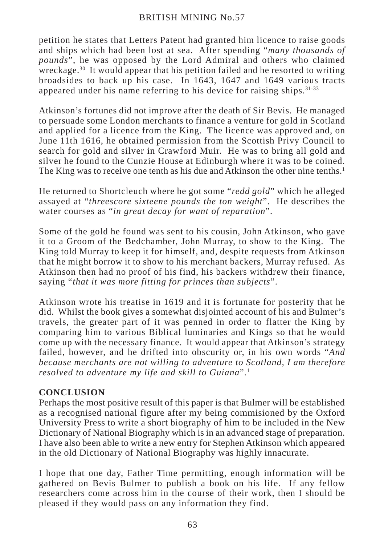petition he states that Letters Patent had granted him licence to raise goods and ships which had been lost at sea. After spending "*many thousands of pounds*", he was opposed by the Lord Admiral and others who claimed wreckage.30 It would appear that his petition failed and he resorted to writing broadsides to back up his case. In 1643, 1647 and 1649 various tracts appeared under his name referring to his device for raising ships.  $31-33$ 

Atkinson's fortunes did not improve after the death of Sir Bevis. He managed to persuade some London merchants to finance a venture for gold in Scotland and applied for a licence from the King. The licence was approved and, on June 11th 1616, he obtained permission from the Scottish Privy Council to search for gold and silver in Crawford Muir. He was to bring all gold and silver he found to the Cunzie House at Edinburgh where it was to be coined. The King was to receive one tenth as his due and Atkinson the other nine tenths.<sup>1</sup>

He returned to Shortcleuch where he got some "*redd gold*" which he alleged assayed at "*threescore sixteene pounds the ton weight*". He describes the water courses as "*in great decay for want of reparation*".

Some of the gold he found was sent to his cousin, John Atkinson, who gave it to a Groom of the Bedchamber, John Murray, to show to the King. The King told Murray to keep it for himself, and, despite requests from Atkinson that he might borrow it to show to his merchant backers, Murray refused. As Atkinson then had no proof of his find, his backers withdrew their finance, saying "*that it was more fitting for princes than subjects*".

Atkinson wrote his treatise in 1619 and it is fortunate for posterity that he did. Whilst the book gives a somewhat disjointed account of his and Bulmer's travels, the greater part of it was penned in order to flatter the King by comparing him to various Biblical luminaries and Kings so that he would come up with the necessary finance. It would appear that Atkinson's strategy failed, however, and he drifted into obscurity or, in his own words "*And because merchants are not willing to adventure to Scotland, I am therefore resolved to adventure my life and skill to Guiana*".1

# **CONCLUSION**

Perhaps the most positive result of this paper is that Bulmer will be established as a recognised national figure after my being commisioned by the Oxford University Press to write a short biography of him to be included in the New Dictionary of National Biography which is in an advanced stage of preparation. I have also been able to write a new entry for Stephen Atkinson which appeared in the old Dictionary of National Biography was highly innacurate.

I hope that one day, Father Time permitting, enough information will be gathered on Bevis Bulmer to publish a book on his life. If any fellow researchers come across him in the course of their work, then I should be pleased if they would pass on any information they find.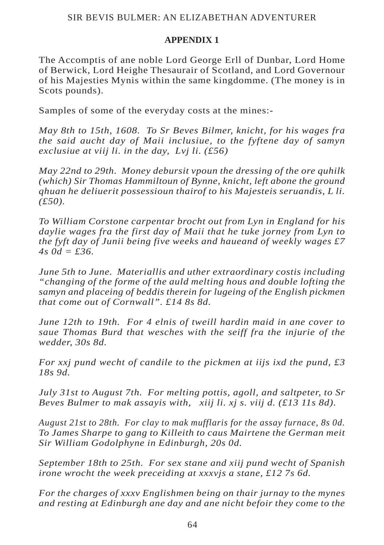# **APPENDIX 1**

The Accomptis of ane noble Lord George Erll of Dunbar, Lord Home of Berwick, Lord Heighe Thesaurair of Scotland, and Lord Governour of his Majesties Mynis within the same kingdomme. (The money is in Scots pounds).

Samples of some of the everyday costs at the mines:-

*May 8th to 15th, 1608. To Sr Beves Bilmer, knicht, for his wages fra the said aucht day of Maii inclusiue, to the fyftene day of samyn exclusiue at viij li. in the day, Lvj li. (£56)*

*May 22nd to 29th. Money debursit vpoun the dressing of the ore quhilk (which) Sir Thomas Hammiltoun of Bynne, knicht, left abone the ground qhuan he deliuerit possessioun thairof to his Majesteis seruandis, L li. (£50).*

*To William Corstone carpentar brocht out from Lyn in England for his daylie wages fra the first day of Maii that he tuke jorney from Lyn to the fyft day of Junii being five weeks and haueand of weekly wages £7 4s 0d = £36.*

*June 5th to June. Materiallis and uther extraordinary costis including "changing of the forme of the auld melting hous and double lofting the samyn and placeing of beddis therein for lugeing of the English pickmen that come out of Cornwall". £14 8s 8d.*

*June 12th to 19th. For 4 elnis of tweill hardin maid in ane cover to saue Thomas Burd that wesches with the seiff fra the injurie of the wedder, 30s 8d.*

*For xxj pund wecht of candile to the pickmen at iijs ixd the pund, £3 18s 9d.*

*July 31st to August 7th. For melting pottis, agoll, and saltpeter, to Sr Beves Bulmer to mak assayis with, xiij li. xj s. viij d. (£13 11s 8d).*

*August 21st to 28th. For clay to mak mufflaris for the assay furnace, 8s 0d. To James Sharpe to gang to Killeith to caus Mairtene the German meit Sir William Godolphyne in Edinburgh, 20s 0d.*

*September 18th to 25th. For sex stane and xiij pund wecht of Spanish irone wrocht the week preceiding at xxxvjs a stane, £12 7s 6d.*

*For the charges of xxxv Englishmen being on thair jurnay to the mynes and resting at Edinburgh ane day and ane nicht befoir they come to the*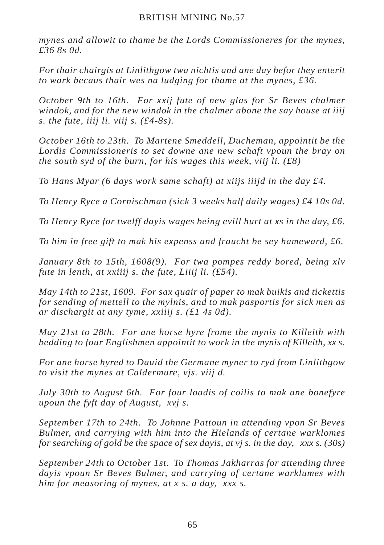*mynes and allowit to thame be the Lords Commissioneres for the mynes, £36 8s 0d.*

*For thair chairgis at Linlithgow twa nichtis and ane day befor they enterit to wark becaus thair wes na ludging for thame at the mynes, £36.*

*October 9th to 16th. For xxij fute of new glas for Sr Beves chalmer windok, and for the new windok in the chalmer abone the say house at iiij s. the fute, iiij li. viij s. (£4-8s).*

*October 16th to 23th. To Martene Smeddell, Ducheman, appointit be the Lordis Commissioneris to set downe ane new schaft vpoun the bray on the south syd of the burn, for his wages this week, viij li. (£8)*

*To Hans Myar (6 days work same schaft) at xiijs iiijd in the day £4.*

*To Henry Ryce a Cornischman (sick 3 weeks half daily wages) £4 10s 0d.*

*To Henry Ryce for twelff dayis wages being evill hurt at xs in the day, £6.*

*To him in free gift to mak his expenss and fraucht be sey hameward, £6.*

*January 8th to 15th, 1608(9). For twa pompes reddy bored, being xlv fute in lenth, at xxiiij s. the fute, Liiij li. (£54).*

*May 14th to 21st, 1609. For sax quair of paper to mak buikis and tickettis for sending of mettell to the mylnis, and to mak pasportis for sick men as ar dischargit at any tyme, xxiiij s. (£1 4s 0d).*

*May 21st to 28th. For ane horse hyre frome the mynis to Killeith with bedding to four Englishmen appointit to work in the mynis of Killeith, xx s.*

*For ane horse hyred to Dauid the Germane myner to ryd from Linlithgow to visit the mynes at Caldermure, vjs. viij d.*

*July 30th to August 6th. For four loadis of coilis to mak ane bonefyre upoun the fyft day of August, xvj s.*

*September 17th to 24th. To Johnne Pattoun in attending vpon Sr Beves Bulmer, and carrying with him into the Hielands of certane warklomes for searching of gold be the space of sex dayis, at vj s. in the day, xxx s. (30s)*

*September 24th to October 1st. To Thomas Jakharras for attending three dayis vpoun Sr Beves Bulmer, and carrying of certane warklumes with him for measoring of mynes, at x s. a day, xxx s.*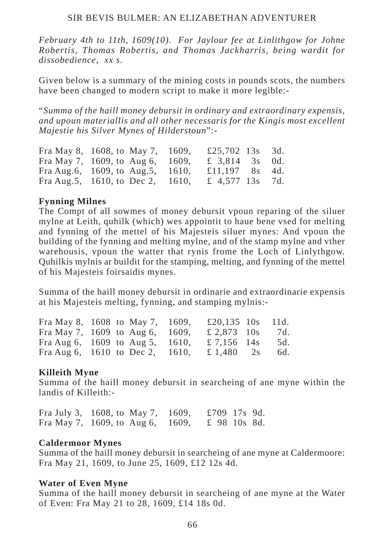*February 4th to 11th, 1609(10). For Jaylour fee at Linlithgow for Johne Robertis, Thomas Robertis, and Thomas Jackharris, being wardit for dissobedience, xx s.*

Given below is a summary of the mining costs in pounds scots, the numbers have been changed to modern script to make it more legible:-

"*Summa of the haill money debursit in ordinary and extraordinary expensis, and upoun materiallis and all other necessaris for the Kingis most excellent Majestie his Silver Mynes of Hilderstoun*":-

| Fra May 8, 1608, to May 7, 1609,       | £25,702 13s 3d. |  |
|----------------------------------------|-----------------|--|
| Fra May 7, 1609, to Aug 6, 1609,       | £ 3,814 3s 0d.  |  |
| Fra Aug.6, $1609$ , to Aug.5, $1610$ , | £11,197 8s 4d.  |  |
| Fra Aug. 5, 1610, to Dec 2, 1610,      | £ 4,577 13s 7d. |  |

#### **Fynning Milnes**

The Compt of all sowmes of money debursit vpoun reparing of the siluer mylne at Leith, quhilk (which) wes appointit to haue bene vsed for melting and fynning of the mettel of his Majesteis siluer mynes: And vpoun the building of the fynning and melting mylne, and of the stamp mylne and vther warehousis, vpoun the watter that rynis frome the Loch of Linlythgow. Quhilkis mylnis ar buildit for the stamping, melting, and fynning of the mettel of his Majesteis foirsaidis mynes.

Summa of the haill money debursit in ordinarie and extraordinarie expensis at his Majesteis melting, fynning, and stamping mylnis:-

| Fra May 8, 1608 to May 7, 1609,      |  | £20,135 $10s$ 11d. |     |
|--------------------------------------|--|--------------------|-----|
| Fra May 7, $1609$ to Aug 6, 1609,    |  | £ 2,873 10s        | 7d. |
| Fra Aug 6, $1609$ to Aug 5, $1610$ , |  | £ 7,156 14s        | 5d. |
| Fra Aug 6, $1610$ to Dec 2, $1610$ , |  | £ 1,480 2s         | 6d. |

#### **Killeith Myne**

Summa of the haill money debursit in searcheing of ane myne within the landis of Killeith:-

Fra July 3, 1608, to May 7, 1609, £709 17s 9d. Fra May 7, 1609, to Aug 6, 1609, £ 98 10s 8d.

#### **Caldermoor Mynes**

Summa of the haill money debursit in searcheing of ane myne at Caldermoore: Fra May 21, 1609, to June 25, 1609, £12 12s 4d.

#### **Water of Even Myne**

Summa of the haill money debursit in searcheing of ane myne at the Water of Even: Fra May 21 to 28, 1609, £14 18s 0d.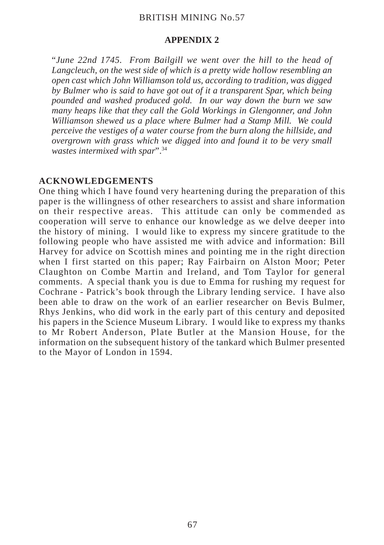#### **APPENDIX 2**

"*June 22nd 1745. From Bailgill we went over the hill to the head of Langcleuch, on the west side of which is a pretty wide hollow resembling an open cast which John Williamson told us, according to tradition, was digged by Bulmer who is said to have got out of it a transparent Spar, which being pounded and washed produced gold. In our way down the burn we saw many heaps like that they call the Gold Workings in Glengonner, and John Williamson shewed us a place where Bulmer had a Stamp Mill. We could perceive the vestiges of a water course from the burn along the hillside, and overgrown with grass which we digged into and found it to be very small wastes intermixed with spar*".34

## **ACKNOWLEDGEMENTS**

One thing which I have found very heartening during the preparation of this paper is the willingness of other researchers to assist and share information on their respective areas. This attitude can only be commended as cooperation will serve to enhance our knowledge as we delve deeper into the history of mining. I would like to express my sincere gratitude to the following people who have assisted me with advice and information: Bill Harvey for advice on Scottish mines and pointing me in the right direction when I first started on this paper; Ray Fairbairn on Alston Moor; Peter Claughton on Combe Martin and Ireland, and Tom Taylor for general comments. A special thank you is due to Emma for rushing my request for Cochrane - Patrick's book through the Library lending service. I have also been able to draw on the work of an earlier researcher on Bevis Bulmer, Rhys Jenkins, who did work in the early part of this century and deposited his papers in the Science Museum Library. I would like to express my thanks to Mr Robert Anderson, Plate Butler at the Mansion House, for the information on the subsequent history of the tankard which Bulmer presented to the Mayor of London in 1594.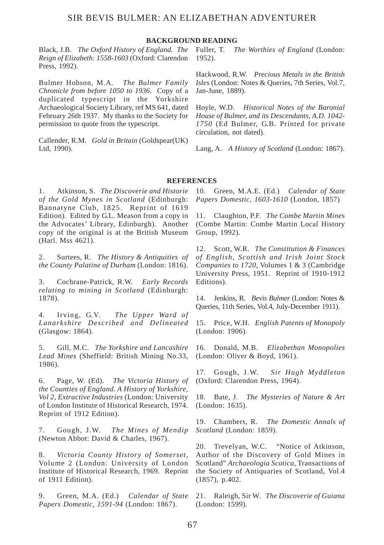#### **BACKGROUND READING**

Black, J.B. *The Oxford History of England. The Reign of Elizabeth: 1558-1603* (Oxford: Clarendon Press, 1992).

Bulmer Hobson, M.A. *The Bulmer Family Chronicle from before 1050 to 1936*. Copy of a duplicated typescript in the Yorkshire Archaeological Society Library, ref MS 641, dated February 26th 1937. My thanks to the Society for permission to quote from the typescript.

Callender, R.M. *Gold in Britain* (Goldspear(UK) Ltd, 1990).

The Worthies of England (London: 1952).

Hackwood, R.W. *Precious Metals in the British Isles* (London: Notes & Queries, 7th Series, Vol.7, Jan-June, 1889).

Hoyle, W.D. *Historical Notes of the Baronial House of Bulmer, and its Descendants, A.D. 1042- 1750* (Ed Bulmer, G.B. Printed for private circulation, not dated).

Lang, A. *A History of Scotland* (London: 1867).

#### **REFERENCES**

1. Atkinson, S. *The Discoverie and Historie of the Gold Mynes in Scotland* (Edinburgh: Bannatyne Club, 1825. Reprint of 1619 Edition). Edited by G.L. Meason from a copy in the Advocates' Library, Edinburgh). Another copy of the original is at the British Museum (Harl. Mss 4621).

2. Surtees, R. *The History & Antiquities of the County Palatine of Durham* (London: 1816).

3. Cochrane-Patrick, R.W. *Early Records relating to mining in Scotland* (Edinburgh: 1878).

4. Irving, G.V. *The Upper Ward of Lanarkshire Described and Delineated* (Glasgow: 1864).

5. Gill, M.C. *The Yorkshire and Lancashire Lead Mines* (Sheffield: British Mining No.33, 1986).

6. Page, W. (Ed). *The Victoria History of the Counties of England. A History of Yorkshire, Vol 2, Extractive Industries* (London: University of London Institute of Historical Research, 1974. Reprint of 1912 Edition).

7. Gough, J.W. *The Mines of Mendip* (Newton Abbot: David & Charles, 1967).

8. *Victoria County History of Somerset*, Volume 2 (London: University of London Institute of Historical Research, 1969. Reprint of 1911 Edition).

9. Green, M.A. (Ed.) *Calendar of State Papers Domestic, 1591-94* (London: 1867).

10. Green, M.A.E. (Ed.) *Calendar of State Papers Domestic, 1603-1610* (London, 1857)

11. Claughton, P.F. *The Combe Martin Mines* (Combe Martin: Combe Martin Local History Group, 1992).

12. Scott, W.R. *The Constitution & Finances of English, Scottish and Irish Joint Stock Companies to 1720*, Volumes 1 & 3 (Cambridge University Press, 1951. Reprint of 1910-1912 Editions).

14. Jenkins, R. *Bevis Bulmer* (London: Notes & Queries, 11th Series, Vol.4, July-December 1911).

15. Price, W.H. *English Patents of Monopoly* (London: 1906).

16. Donald, M.B. *Elizabethan Monopolies* (London: Oliver & Boyd, 1961).

17. Gough, J.W. *Sir Hugh Myddleton* (Oxford: Clarendon Press, 1964).

18. Bate, J. *The Mysteries of Nature & Art* (London: 1635).

19. Chambers, R. *The Domestic Annals of Scotland* (London: 1859).

20. Trevelyan, W.C. "Notice of Atkinson, Author of the Discovery of Gold Mines in Scotland" *Archaeologia Scotica*, Transactions of the Society of Antiquaries of Scotland, Vol.4 (1857), p.402.

21. Raleigh, Sir W. *The Discoverie of Guiana* (London: 1599).